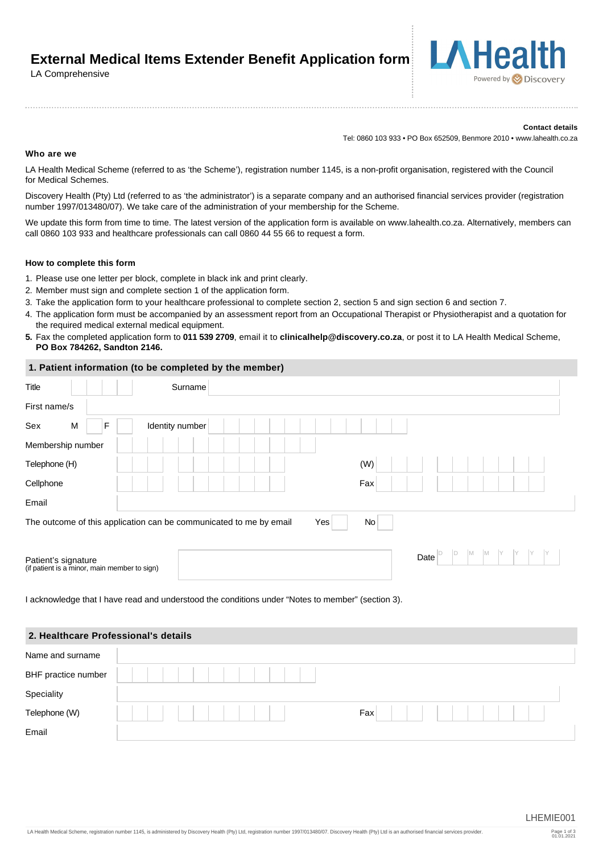**External Medical Items Extender Benefit Application form** 

### LA Comprehensive

#### **Contact details**

Powered by **Discovery** 

Tel: 0860 103 933 • PO Box 652509, Benmore 2010 • www.lahealth.co.za

#### **Who are we**

LA Health Medical Scheme (referred to as 'the Scheme'), registration number 1145, is a non-profit organisation, registered with the Council for Medical Schemes.

Discovery Health (Pty) Ltd (referred to as 'the administrator') is a separate company and an authorised financial services provider (registration number 1997/013480/07). We take care of the administration of your membership for the Scheme.

We update this form from time to time. The latest version of the application form is available on www.lahealth.co.za. Alternatively, members can call 0860 103 933 and healthcare professionals can call 0860 44 55 66 to request a form.

#### **How to complete this form**

- 1. Please use one letter per block, complete in black ink and print clearly.
- 2. Member must sign and complete section 1 of the application form.
- 3. Take the application form to your healthcare professional to complete section 2, section 5 and sign section 6 and section 7.
- 4. The application form must be accompanied by an assessment report from an Occupational Therapist or Physiotherapist and a quotation for the required medical external medical equipment.
- **5.** Fax the completed application form to **011 539 2709**, email it to **clinicalhelp@discovery.co.za**, or post it to LA Health Medical Scheme, **PO Box 784262, Sandton 2146.**

#### **1. Patient information (to be completed by the member)**

| Title                                                               | Surname         |     |     |      |         |    |  |
|---------------------------------------------------------------------|-----------------|-----|-----|------|---------|----|--|
| First name/s                                                        |                 |     |     |      |         |    |  |
| Sex<br>M<br>F                                                       | Identity number |     |     |      |         |    |  |
| Membership number                                                   |                 |     |     |      |         |    |  |
| Telephone (H)                                                       |                 |     | (W) |      |         |    |  |
| Cellphone                                                           |                 |     | Fax |      |         |    |  |
| Email                                                               |                 |     |     |      |         |    |  |
| The outcome of this application can be communicated to me by email  |                 | Yes | No  |      |         |    |  |
|                                                                     |                 |     |     |      |         |    |  |
| Patient's signature<br>(if patient is a minor, main member to sign) |                 |     |     | Date | ID<br>M | IM |  |
|                                                                     |                 |     |     |      |         |    |  |

I acknowledge that I have read and understood the conditions under "Notes to member" (section 3).

# **2. Healthcare Professional's details**  Name and surname BHF practice number **Speciality** Telephone (W) Fax Email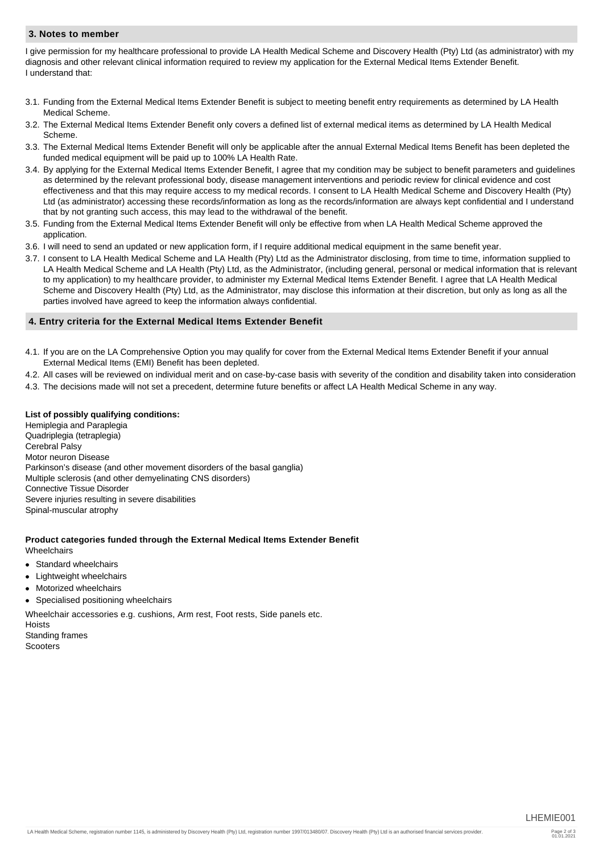### **3. Notes to member**

I give permission for my healthcare professional to provide LA Health Medical Scheme and Discovery Health (Pty) Ltd (as administrator) with my diagnosis and other relevant clinical information required to review my application for the External Medical Items Extender Benefit. I understand that:

- 3.1. Funding from the External Medical Items Extender Benefit is subject to meeting benefit entry requirements as determined by LA Health Medical Scheme.
- 3.2. The External Medical Items Extender Benefit only covers a defined list of external medical items as determined by LA Health Medical Scheme.
- 3.3. The External Medical Items Extender Benefit will only be applicable after the annual External Medical Items Benefit has been depleted the funded medical equipment will be paid up to 100% LA Health Rate.
- 3.4. By applying for the External Medical Items Extender Benefit, I agree that my condition may be subject to benefit parameters and guidelines as determined by the relevant professional body, disease management interventions and periodic review for clinical evidence and cost effectiveness and that this may require access to my medical records. I consent to LA Health Medical Scheme and Discovery Health (Pty) Ltd (as administrator) accessing these records/information as long as the records/information are always kept confidential and I understand that by not granting such access, this may lead to the withdrawal of the benefit.
- 3.5. Funding from the External Medical Items Extender Benefit will only be effective from when LA Health Medical Scheme approved the application.
- 3.6. I will need to send an updated or new application form, if I require additional medical equipment in the same benefit year.
- 3.7. I consent to LA Health Medical Scheme and LA Health (Pty) Ltd as the Administrator disclosing, from time to time, information supplied to LA Health Medical Scheme and LA Health (Pty) Ltd, as the Administrator, (including general, personal or medical information that is relevant to my application) to my healthcare provider, to administer my External Medical Items Extender Benefit. I agree that LA Health Medical Scheme and Discovery Health (Pty) Ltd, as the Administrator, may disclose this information at their discretion, but only as long as all the parties involved have agreed to keep the information always confidential.

#### **4. Entry criteria for the External Medical Items Extender Benefit**

- 4.1. If you are on the LA Comprehensive Option you may qualify for cover from the External Medical Items Extender Benefit if your annual External Medical Items (EMI) Benefit has been depleted.
- 4.2. All cases will be reviewed on individual merit and on case-by-case basis with severity of the condition and disability taken into consideration
- 4.3. The decisions made will not set a precedent, determine future benefits or affect LA Health Medical Scheme in any way.

#### **List of possibly qualifying conditions:**

Hemiplegia and Paraplegia Quadriplegia (tetraplegia) Cerebral Palsy Motor neuron Disease Parkinson's disease (and other movement disorders of the basal ganglia) Multiple sclerosis (and other demyelinating CNS disorders) Connective Tissue Disorder Severe injuries resulting in severe disabilities Spinal-muscular atrophy

# **Product categories funded through the External Medical Items Extender Benefit**

**Wheelchairs** 

- Standard wheelchairs  $\bullet$
- Lightweight wheelchairs
- Motorized wheelchairs
- Specialised positioning wheelchairs

Wheelchair accessories e.g. cushions, Arm rest, Foot rests, Side panels etc.

Hoists Standing frames Scooters